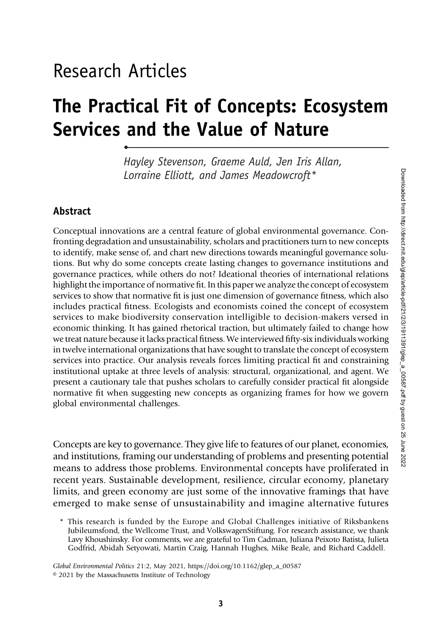# Research Articles

•

# The Practical Fit of Concepts: Ecosystem Services and the Value of Nature

Hayley Stevenson, Graeme Auld, Jen Iris Allan, Lorraine Elliott, and James Meadowcroft\*

#### Abstract

Conceptual innovations are a central feature of global environmental governance. Confronting degradation and unsustainability, scholars and practitioners turn to new concepts to identify, make sense of, and chart new directions towards meaningful governance solutions. But why do some concepts create lasting changes to governance institutions and governance practices, while others do not? Ideational theories of international relations highlight the importance of normative fit. In this paper we analyze the concept of ecosystem services to show that normative fit is just one dimension of governance fitness, which also includes practical fitness. Ecologists and economists coined the concept of ecosystem services to make biodiversity conservation intelligible to decision-makers versed in economic thinking. It has gained rhetorical traction, but ultimately failed to change how we treat nature because it lacks practical fitness. We interviewed fifty-six individuals working in twelve international organizations that have sought to translate the concept of ecosystem services into practice. Our analysis reveals forces limiting practical fit and constraining institutional uptake at three levels of analysis: structural, organizational, and agent. We present a cautionary tale that pushes scholars to carefully consider practical fit alongside normative fit when suggesting new concepts as organizing frames for how we govern global environmental challenges.

Concepts are key to governance. They give life to features of our planet, economies, and institutions, framing our understanding of problems and presenting potential means to address those problems. Environmental concepts have proliferated in recent years. Sustainable development, resilience, circular economy, planetary limits, and green economy are just some of the innovative framings that have emerged to make sense of unsustainability and imagine alternative futures

Global Environmental Politics 21:2, May 2021, https://doi.org/10.1162/glep\_a\_00587 © 2021 by the Massachusetts Institute of Technology

<sup>\*</sup> This research is funded by the Europe and Global Challenges initiative of Riksbankens Jubileumsfond, the Wellcome Trust, and VolkswagenStiftung. For research assistance, we thank Lavy Khoushinsky. For comments, we are grateful to Tim Cadman, Juliana Peixoto Batista, Julieta Godfrid, Abidah Setyowati, Martin Craig, Hannah Hughes, Mike Beale, and Richard Caddell.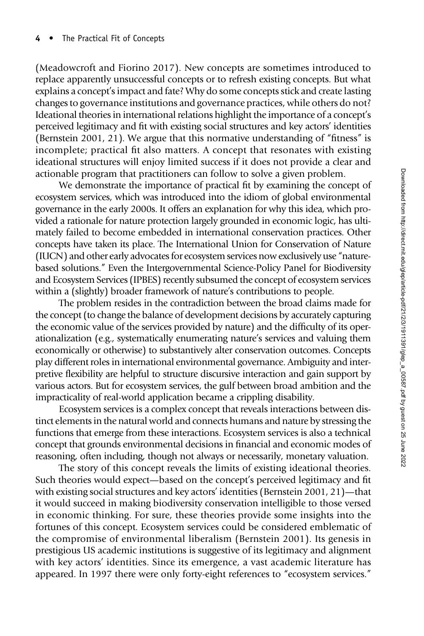(Meadowcroft and Fiorino 2017). New concepts are sometimes introduced to replace apparently unsuccessful concepts or to refresh existing concepts. But what explains a concept's impact and fate? Why do some concepts stick and create lasting changes to governance institutions and governance practices, while others do not? Ideational theories in international relations highlight the importance of a concept's perceived legitimacy and fit with existing social structures and key actors' identities (Bernstein 2001, 21). We argue that this normative understanding of "fitness" is incomplete; practical fit also matters. A concept that resonates with existing ideational structures will enjoy limited success if it does not provide a clear and actionable program that practitioners can follow to solve a given problem.

We demonstrate the importance of practical fit by examining the concept of ecosystem services, which was introduced into the idiom of global environmental governance in the early 2000s. It offers an explanation for why this idea, which provided a rationale for nature protection largely grounded in economic logic, has ultimately failed to become embedded in international conservation practices. Other concepts have taken its place. The International Union for Conservation of Nature (IUCN) and other early advocates for ecosystem services now exclusively use "naturebased solutions." Even the Intergovernmental Science-Policy Panel for Biodiversity and Ecosystem Services (IPBES) recently subsumed the concept of ecosystem services within a (slightly) broader framework of nature's contributions to people.

The problem resides in the contradiction between the broad claims made for the concept (to change the balance of development decisions by accurately capturing the economic value of the services provided by nature) and the difficulty of its operationalization (e.g., systematically enumerating nature's services and valuing them economically or otherwise) to substantively alter conservation outcomes. Concepts play different roles in international environmental governance. Ambiguity and interpretive flexibility are helpful to structure discursive interaction and gain support by various actors. But for ecosystem services, the gulf between broad ambition and the impracticality of real-world application became a crippling disability.

Ecosystem services is a complex concept that reveals interactions between distinct elements in the natural world and connects humans and nature by stressing the functions that emerge from these interactions. Ecosystem services is also a technical concept that grounds environmental decisions in financial and economic modes of reasoning, often including, though not always or necessarily, monetary valuation.

The story of this concept reveals the limits of existing ideational theories. Such theories would expect—based on the concept's perceived legitimacy and fit with existing social structures and key actors' identities (Bernstein 2001, 21)—that it would succeed in making biodiversity conservation intelligible to those versed in economic thinking. For sure, these theories provide some insights into the fortunes of this concept. Ecosystem services could be considered emblematic of the compromise of environmental liberalism (Bernstein 2001). Its genesis in prestigious US academic institutions is suggestive of its legitimacy and alignment with key actors' identities. Since its emergence, a vast academic literature has appeared. In 1997 there were only forty-eight references to "ecosystem services."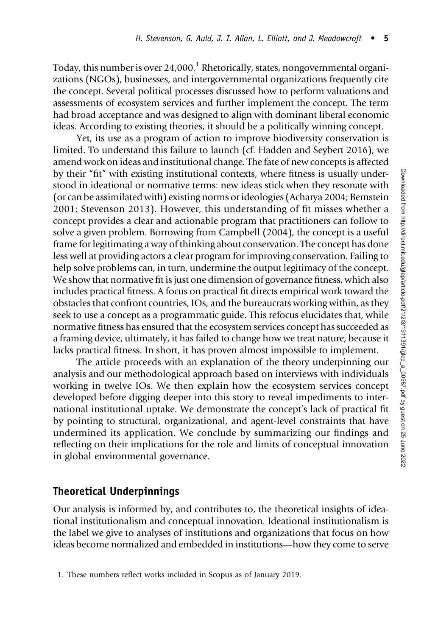Today, this number is over  $24,000$ .<sup>1</sup> Rhetorically, states, nongovernmental organizations (NGOs), businesses, and intergovernmental organizations frequently cite the concept. Several political processes discussed how to perform valuations and assessments of ecosystem services and further implement the concept. The term had broad acceptance and was designed to align with dominant liberal economic ideas. According to existing theories, it should be a politically winning concept.

Yet, its use as a program of action to improve biodiversity conservation is limited. To understand this failure to launch (cf. Hadden and Seybert 2016), we amend work on ideas and institutional change. The fate of new concepts is affected by their "fit" with existing institutional contexts, where fitness is usually understood in ideational or normative terms: new ideas stick when they resonate with (or can be assimilated with) existing norms or ideologies (Acharya 2004; Bernstein 2001; Stevenson 2013). However, this understanding of fit misses whether a concept provides a clear and actionable program that practitioners can follow to solve a given problem. Borrowing from Campbell (2004), the concept is a useful frame for legitimating a way of thinking about conservation. The concept has done less well at providing actors a clear program for improving conservation. Failing to help solve problems can, in turn, undermine the output legitimacy of the concept. We show that normative fit is just one dimension of governance fitness, which also includes practical fitness. A focus on practical fit directs empirical work toward the obstacles that confront countries, IOs, and the bureaucrats working within, as they seek to use a concept as a programmatic guide. This refocus elucidates that, while normative fitness has ensured that the ecosystem services concept has succeeded as a framing device, ultimately, it has failed to change how we treat nature, because it lacks practical fitness. In short, it has proven almost impossible to implement.

The article proceeds with an explanation of the theory underpinning our analysis and our methodological approach based on interviews with individuals working in twelve IOs. We then explain how the ecosystem services concept developed before digging deeper into this story to reveal impediments to international institutional uptake. We demonstrate the concept's lack of practical fit by pointing to structural, organizational, and agent-level constraints that have undermined its application. We conclude by summarizing our findings and reflecting on their implications for the role and limits of conceptual innovation in global environmental governance.

#### Theoretical Underpinnings

Our analysis is informed by, and contributes to, the theoretical insights of ideational institutionalism and conceptual innovation. Ideational institutionalism is the label we give to analyses of institutions and organizations that focus on how ideas become normalized and embedded in institutions—how they come to serve

<sup>1.</sup> These numbers reflect works included in Scopus as of January 2019.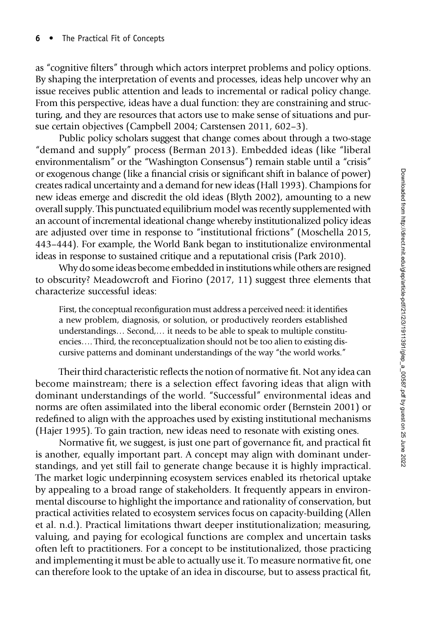as "cognitive filters" through which actors interpret problems and policy options. By shaping the interpretation of events and processes, ideas help uncover why an issue receives public attention and leads to incremental or radical policy change. From this perspective, ideas have a dual function: they are constraining and structuring, and they are resources that actors use to make sense of situations and pursue certain objectives (Campbell 2004; Carstensen 2011, 602–3).

Public policy scholars suggest that change comes about through a two-stage "demand and supply" process (Berman 2013). Embedded ideas (like "liberal environmentalism" or the "Washington Consensus") remain stable until a "crisis" or exogenous change (like a financial crisis or significant shift in balance of power) creates radical uncertainty and a demand for new ideas (Hall 1993). Champions for new ideas emerge and discredit the old ideas (Blyth 2002), amounting to a new overall supply. This punctuated equilibrium model was recently supplemented with an account of incremental ideational change whereby institutionalized policy ideas are adjusted over time in response to "institutional frictions" (Moschella 2015, 443–444). For example, the World Bank began to institutionalize environmental ideas in response to sustained critique and a reputational crisis (Park 2010).

Why do some ideas become embedded in institutions while others are resigned to obscurity? Meadowcroft and Fiorino (2017, 11) suggest three elements that characterize successful ideas:

First, the conceptual reconfiguration must address a perceived need: it identifies a new problem, diagnosis, or solution, or productively reorders established understandings… Second,… it needs to be able to speak to multiple constituencies…. Third, the reconceptualization should not be too alien to existing discursive patterns and dominant understandings of the way "the world works."

Their third characteristic reflects the notion of normative fit. Not any idea can become mainstream; there is a selection effect favoring ideas that align with dominant understandings of the world. "Successful" environmental ideas and norms are often assimilated into the liberal economic order (Bernstein 2001) or redefined to align with the approaches used by existing institutional mechanisms (Hajer 1995). To gain traction, new ideas need to resonate with existing ones.

Normative fit, we suggest, is just one part of governance fit, and practical fit is another, equally important part. A concept may align with dominant understandings, and yet still fail to generate change because it is highly impractical. The market logic underpinning ecosystem services enabled its rhetorical uptake by appealing to a broad range of stakeholders. It frequently appears in environmental discourse to highlight the importance and rationality of conservation, but practical activities related to ecosystem services focus on capacity-building (Allen et al. n.d.). Practical limitations thwart deeper institutionalization; measuring, valuing, and paying for ecological functions are complex and uncertain tasks often left to practitioners. For a concept to be institutionalized, those practicing and implementing it must be able to actually use it. To measure normative fit, one can therefore look to the uptake of an idea in discourse, but to assess practical fit,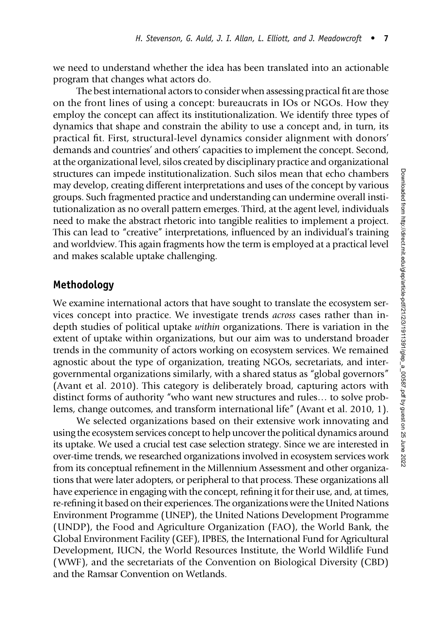we need to understand whether the idea has been translated into an actionable program that changes what actors do.

The best international actors to consider when assessing practical fit are those on the front lines of using a concept: bureaucrats in IOs or NGOs. How they employ the concept can affect its institutionalization. We identify three types of dynamics that shape and constrain the ability to use a concept and, in turn, its practical fit. First, structural-level dynamics consider alignment with donors' demands and countries' and others' capacities to implement the concept. Second, at the organizational level, silos created by disciplinary practice and organizational structures can impede institutionalization. Such silos mean that echo chambers may develop, creating different interpretations and uses of the concept by various groups. Such fragmented practice and understanding can undermine overall institutionalization as no overall pattern emerges. Third, at the agent level, individuals need to make the abstract rhetoric into tangible realities to implement a project. This can lead to "creative" interpretations, influenced by an individual's training and worldview. This again fragments how the term is employed at a practical level and makes scalable uptake challenging.

### Methodology

We examine international actors that have sought to translate the ecosystem services concept into practice. We investigate trends across cases rather than indepth studies of political uptake within organizations. There is variation in the extent of uptake within organizations, but our aim was to understand broader trends in the community of actors working on ecosystem services. We remained agnostic about the type of organization, treating NGOs, secretariats, and intergovernmental organizations similarly, with a shared status as "global governors" (Avant et al. 2010). This category is deliberately broad, capturing actors with distinct forms of authority "who want new structures and rules… to solve problems, change outcomes, and transform international life" (Avant et al. 2010, 1).

We selected organizations based on their extensive work innovating and using the ecosystem services concept to help uncover the political dynamics around its uptake. We used a crucial test case selection strategy. Since we are interested in over-time trends, we researched organizations involved in ecosystem services work from its conceptual refinement in the Millennium Assessment and other organizations that were later adopters, or peripheral to that process. These organizations all have experience in engaging with the concept, refining it for their use, and, at times, re-refining it based on their experiences. The organizations were the United Nations Environment Programme (UNEP), the United Nations Development Programme (UNDP), the Food and Agriculture Organization (FAO), the World Bank, the Global Environment Facility (GEF), IPBES, the International Fund for Agricultural Development, IUCN, the World Resources Institute, the World Wildlife Fund (WWF), and the secretariats of the Convention on Biological Diversity (CBD) and the Ramsar Convention on Wetlands.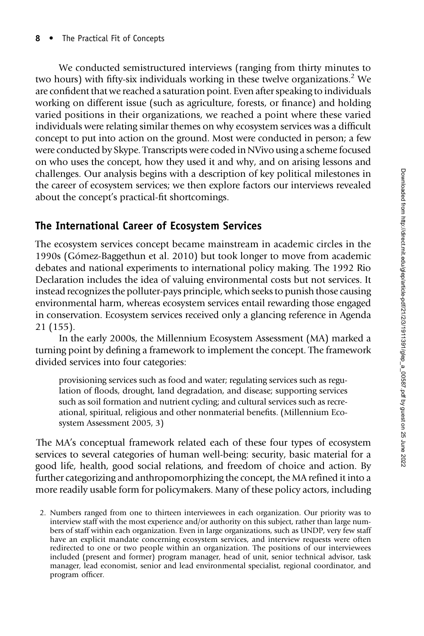We conducted semistructured interviews (ranging from thirty minutes to two hours) with fifty-six individuals working in these twelve organizations.<sup>2</sup> We are confident that we reached a saturation point. Even after speaking to individuals working on different issue (such as agriculture, forests, or finance) and holding varied positions in their organizations, we reached a point where these varied individuals were relating similar themes on why ecosystem services was a difficult concept to put into action on the ground. Most were conducted in person; a few were conducted by Skype. Transcripts were coded in NVivo using a scheme focused on who uses the concept, how they used it and why, and on arising lessons and challenges. Our analysis begins with a description of key political milestones in the career of ecosystem services; we then explore factors our interviews revealed about the concept's practical-fit shortcomings.

## The International Career of Ecosystem Services

The ecosystem services concept became mainstream in academic circles in the 1990s (Gómez-Baggethun et al. 2010) but took longer to move from academic debates and national experiments to international policy making. The 1992 Rio Declaration includes the idea of valuing environmental costs but not services. It instead recognizes the polluter-pays principle, which seeks to punish those causing environmental harm, whereas ecosystem services entail rewarding those engaged in conservation. Ecosystem services received only a glancing reference in Agenda 21 (155).

In the early 2000s, the Millennium Ecosystem Assessment (MA) marked a turning point by defining a framework to implement the concept. The framework divided services into four categories:

provisioning services such as food and water; regulating services such as regulation of floods, drought, land degradation, and disease; supporting services such as soil formation and nutrient cycling; and cultural services such as recreational, spiritual, religious and other nonmaterial benefits. (Millennium Ecosystem Assessment 2005, 3)

The MA's conceptual framework related each of these four types of ecosystem services to several categories of human well-being: security, basic material for a good life, health, good social relations, and freedom of choice and action. By further categorizing and anthropomorphizing the concept, the MA refined it into a more readily usable form for policymakers. Many of these policy actors, including

<sup>2.</sup> Numbers ranged from one to thirteen interviewees in each organization. Our priority was to interview staff with the most experience and/or authority on this subject, rather than large numbers of staff within each organization. Even in large organizations, such as UNDP, very few staff have an explicit mandate concerning ecosystem services, and interview requests were often redirected to one or two people within an organization. The positions of our interviewees included (present and former) program manager, head of unit, senior technical advisor, task manager, lead economist, senior and lead environmental specialist, regional coordinator, and program officer.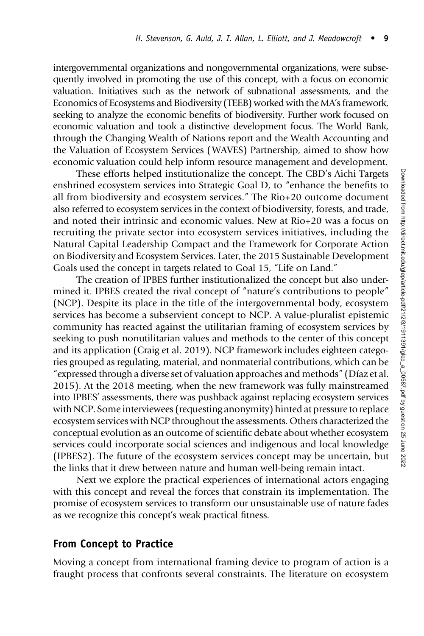intergovernmental organizations and nongovernmental organizations, were subsequently involved in promoting the use of this concept, with a focus on economic valuation. Initiatives such as the network of subnational assessments, and the Economics of Ecosystems and Biodiversity (TEEB) worked with the MA's framework, seeking to analyze the economic benefits of biodiversity. Further work focused on economic valuation and took a distinctive development focus. The World Bank, through the Changing Wealth of Nations report and the Wealth Accounting and the Valuation of Ecosystem Services (WAVES) Partnership, aimed to show how economic valuation could help inform resource management and development.

These efforts helped institutionalize the concept. The CBD's Aichi Targets enshrined ecosystem services into Strategic Goal D, to "enhance the benefits to all from biodiversity and ecosystem services." The Rio+20 outcome document also referred to ecosystem services in the context of biodiversity, forests, and trade, and noted their intrinsic and economic values. New at Rio+20 was a focus on recruiting the private sector into ecosystem services initiatives, including the Natural Capital Leadership Compact and the Framework for Corporate Action on Biodiversity and Ecosystem Services. Later, the 2015 Sustainable Development Goals used the concept in targets related to Goal 15, "Life on Land."

The creation of IPBES further institutionalized the concept but also undermined it. IPBES created the rival concept of "nature's contributions to people" (NCP). Despite its place in the title of the intergovernmental body, ecosystem services has become a subservient concept to NCP. A value-pluralist epistemic community has reacted against the utilitarian framing of ecosystem services by seeking to push nonutilitarian values and methods to the center of this concept and its application (Craig et al. 2019). NCP framework includes eighteen categories grouped as regulating, material, and nonmaterial contributions, which can be "expressed through a diverse set of valuation approaches and methods" (Díaz et al. 2015). At the 2018 meeting, when the new framework was fully mainstreamed into IPBES' assessments, there was pushback against replacing ecosystem services with NCP. Some interviewees (requesting anonymity) hinted at pressure to replace ecosystem services with NCP throughout the assessments. Others characterized the conceptual evolution as an outcome of scientific debate about whether ecosystem services could incorporate social sciences and indigenous and local knowledge (IPBES2). The future of the ecosystem services concept may be uncertain, but the links that it drew between nature and human well-being remain intact.

Next we explore the practical experiences of international actors engaging with this concept and reveal the forces that constrain its implementation. The promise of ecosystem services to transform our unsustainable use of nature fades as we recognize this concept's weak practical fitness.

#### From Concept to Practice

Moving a concept from international framing device to program of action is a fraught process that confronts several constraints. The literature on ecosystem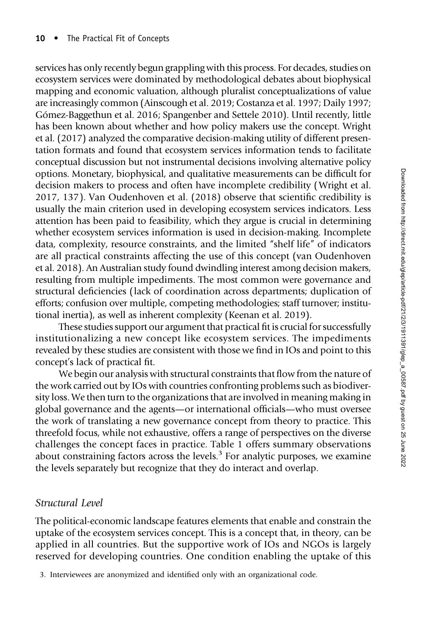services has only recently begun grappling with this process. For decades, studies on ecosystem services were dominated by methodological debates about biophysical mapping and economic valuation, although pluralist conceptualizations of value are increasingly common (Ainscough et al. 2019; Costanza et al. 1997; Daily 1997; Gómez-Baggethun et al. 2016; Spangenber and Settele 2010). Until recently, little has been known about whether and how policy makers use the concept. Wright et al. (2017) analyzed the comparative decision-making utility of different presentation formats and found that ecosystem services information tends to facilitate conceptual discussion but not instrumental decisions involving alternative policy options. Monetary, biophysical, and qualitative measurements can be difficult for decision makers to process and often have incomplete credibility (Wright et al. 2017, 137). Van Oudenhoven et al. (2018) observe that scientific credibility is usually the main criterion used in developing ecosystem services indicators. Less attention has been paid to feasibility, which they argue is crucial in determining whether ecosystem services information is used in decision-making. Incomplete data, complexity, resource constraints, and the limited "shelf life" of indicators are all practical constraints affecting the use of this concept (van Oudenhoven et al. 2018). An Australian study found dwindling interest among decision makers, resulting from multiple impediments. The most common were governance and structural deficiencies (lack of coordination across departments; duplication of efforts; confusion over multiple, competing methodologies; staff turnover; institutional inertia), as well as inherent complexity (Keenan et al. 2019).

These studies support our argument that practical fit is crucial for successfully institutionalizing a new concept like ecosystem services. The impediments revealed by these studies are consistent with those we find in IOs and point to this concept's lack of practical fit.

We begin our analysis with structural constraints that flow from the nature of the work carried out by IOs with countries confronting problems such as biodiversity loss. We then turn to the organizations that are involved in meaning making in global governance and the agents—or international officials—who must oversee the work of translating a new governance concept from theory to practice. This threefold focus, while not exhaustive, offers a range of perspectives on the diverse challenges the concept faces in practice. Table 1 offers summary observations about constraining factors across the levels. $3$  For analytic purposes, we examine the levels separately but recognize that they do interact and overlap.

#### Structural Level

The political-economic landscape features elements that enable and constrain the uptake of the ecosystem services concept. This is a concept that, in theory, can be applied in all countries. But the supportive work of IOs and NGOs is largely reserved for developing countries. One condition enabling the uptake of this

3. Interviewees are anonymized and identified only with an organizational code.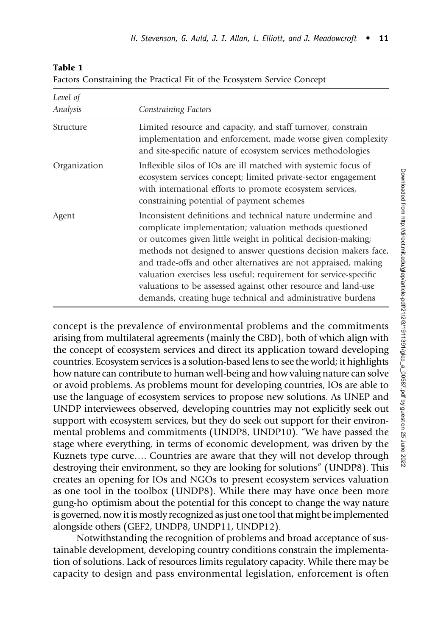| Level of<br>Analysis | Constraining Factors                                                                                                                                                                                                                                                                                                                                                                                                                                                                                                              |
|----------------------|-----------------------------------------------------------------------------------------------------------------------------------------------------------------------------------------------------------------------------------------------------------------------------------------------------------------------------------------------------------------------------------------------------------------------------------------------------------------------------------------------------------------------------------|
| Structure            | Limited resource and capacity, and staff turnover, constrain<br>implementation and enforcement, made worse given complexity<br>and site-specific nature of ecosystem services methodologies                                                                                                                                                                                                                                                                                                                                       |
| Organization         | Inflexible silos of IOs are ill matched with systemic focus of<br>ecosystem services concept; limited private-sector engagement<br>with international efforts to promote ecosystem services,<br>constraining potential of payment schemes                                                                                                                                                                                                                                                                                         |
| Agent                | Inconsistent definitions and technical nature undermine and<br>complicate implementation; valuation methods questioned<br>or outcomes given little weight in political decision-making;<br>methods not designed to answer questions decision makers face,<br>and trade-offs and other alternatives are not appraised, making<br>valuation exercises less useful; requirement for service-specific<br>valuations to be assessed against other resource and land-use<br>demands, creating huge technical and administrative burdens |

Table 1

Factors Constraining the Practical Fit of the Ecosystem Service Concept

concept is the prevalence of environmental problems and the commitments arising from multilateral agreements (mainly the CBD), both of which align with the concept of ecosystem services and direct its application toward developing countries. Ecosystem services is a solution-based lens to see the world; it highlights how nature can contribute to human well-being and how valuing nature can solve or avoid problems. As problems mount for developing countries, IOs are able to use the language of ecosystem services to propose new solutions. As UNEP and UNDP interviewees observed, developing countries may not explicitly seek out support with ecosystem services, but they do seek out support for their environmental problems and commitments (UNDP8, UNDP10). "We have passed the stage where everything, in terms of economic development, was driven by the Kuznets type curve…. Countries are aware that they will not develop through destroying their environment, so they are looking for solutions" (UNDP8). This creates an opening for IOs and NGOs to present ecosystem services valuation as one tool in the toolbox (UNDP8). While there may have once been more gung-ho optimism about the potential for this concept to change the way nature is governed, now it is mostly recognized as just one tool that might be implemented alongside others (GEF2, UNDP8, UNDP11, UNDP12).

Notwithstanding the recognition of problems and broad acceptance of sustainable development, developing country conditions constrain the implementation of solutions. Lack of resources limits regulatory capacity. While there may be capacity to design and pass environmental legislation, enforcement is often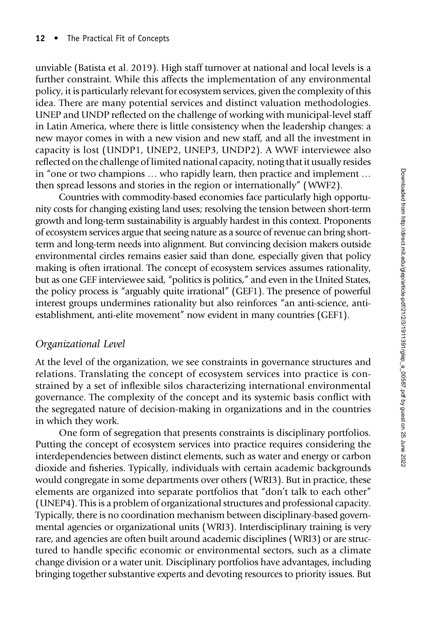unviable (Batista et al. 2019). High staff turnover at national and local levels is a further constraint. While this affects the implementation of any environmental policy, it is particularly relevant for ecosystem services, given the complexity of this idea. There are many potential services and distinct valuation methodologies. UNEP and UNDP reflected on the challenge of working with municipal-level staff in Latin America, where there is little consistency when the leadership changes: a new mayor comes in with a new vision and new staff, and all the investment in capacity is lost (UNDP1, UNEP2, UNEP3, UNDP2). A WWF interviewee also reflected on the challenge of limited national capacity, noting that it usually resides in "one or two champions … who rapidly learn, then practice and implement … then spread lessons and stories in the region or internationally" (WWF2).

Countries with commodity-based economies face particularly high opportunity costs for changing existing land uses; resolving the tension between short-term growth and long-term sustainability is arguably hardest in this context. Proponents of ecosystem services argue that seeing nature as a source of revenue can bring shortterm and long-term needs into alignment. But convincing decision makers outside environmental circles remains easier said than done, especially given that policy making is often irrational. The concept of ecosystem services assumes rationality, but as one GEF interviewee said, "politics is politics," and even in the United States, the policy process is "arguably quite irrational" (GEF1). The presence of powerful interest groups undermines rationality but also reinforces "an anti-science, antiestablishment, anti-elite movement" now evident in many countries (GEF1).

#### Organizational Level

At the level of the organization, we see constraints in governance structures and relations. Translating the concept of ecosystem services into practice is constrained by a set of inflexible silos characterizing international environmental governance. The complexity of the concept and its systemic basis conflict with the segregated nature of decision-making in organizations and in the countries in which they work.

One form of segregation that presents constraints is disciplinary portfolios. Putting the concept of ecosystem services into practice requires considering the interdependencies between distinct elements, such as water and energy or carbon dioxide and fisheries. Typically, individuals with certain academic backgrounds would congregate in some departments over others (WRI3). But in practice, these elements are organized into separate portfolios that "don't talk to each other" (UNEP4). This is a problem of organizational structures and professional capacity. Typically, there is no coordination mechanism between disciplinary-based governmental agencies or organizational units (WRI3). Interdisciplinary training is very rare, and agencies are often built around academic disciplines (WRI3) or are structured to handle specific economic or environmental sectors, such as a climate change division or a water unit. Disciplinary portfolios have advantages, including bringing together substantive experts and devoting resources to priority issues. But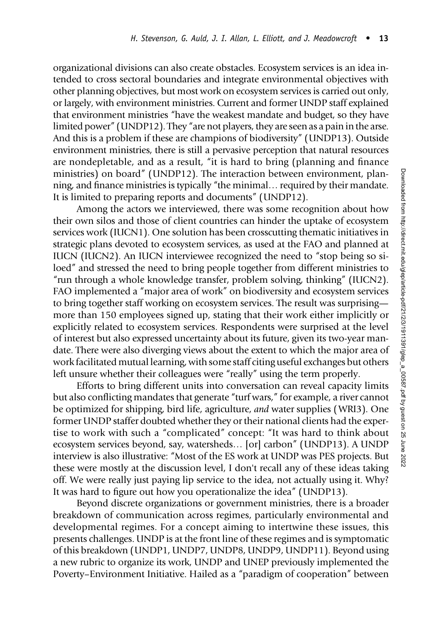organizational divisions can also create obstacles. Ecosystem services is an idea intended to cross sectoral boundaries and integrate environmental objectives with other planning objectives, but most work on ecosystem services is carried out only, or largely, with environment ministries. Current and former UNDP staff explained that environment ministries "have the weakest mandate and budget, so they have limited power" (UNDP12). They "are not players, they are seen as a pain in the arse. And this is a problem if these are champions of biodiversity" (UNDP13). Outside environment ministries, there is still a pervasive perception that natural resources are nondepletable, and as a result, "it is hard to bring (planning and finance ministries) on board" (UNDP12). The interaction between environment, planning, and finance ministries is typically "the minimal… required by their mandate. It is limited to preparing reports and documents" (UNDP12).

Among the actors we interviewed, there was some recognition about how their own silos and those of client countries can hinder the uptake of ecosystem services work (IUCN1). One solution has been crosscutting thematic initiatives in strategic plans devoted to ecosystem services, as used at the FAO and planned at IUCN (IUCN2). An IUCN interviewee recognized the need to "stop being so siloed" and stressed the need to bring people together from different ministries to "run through a whole knowledge transfer, problem solving, thinking" (IUCN2). FAO implemented a "major area of work" on biodiversity and ecosystem services to bring together staff working on ecosystem services. The result was surprising more than 150 employees signed up, stating that their work either implicitly or explicitly related to ecosystem services. Respondents were surprised at the level of interest but also expressed uncertainty about its future, given its two-year mandate. There were also diverging views about the extent to which the major area of work facilitated mutual learning, with some staff citing useful exchanges but others left unsure whether their colleagues were "really" using the term properly.

Efforts to bring different units into conversation can reveal capacity limits but also conflicting mandates that generate "turf wars," for example, a river cannot be optimized for shipping, bird life, agriculture, and water supplies (WRI3). One former UNDP staffer doubted whether they or their national clients had the expertise to work with such a "complicated" concept: "It was hard to think about ecosystem services beyond, say, watersheds… [or] carbon" (UNDP13). A UNDP interview is also illustrative: "Most of the ES work at UNDP was PES projects. But these were mostly at the discussion level, I don't recall any of these ideas taking off. We were really just paying lip service to the idea, not actually using it. Why? It was hard to figure out how you operationalize the idea" (UNDP13).

Beyond discrete organizations or government ministries, there is a broader breakdown of communication across regimes, particularly environmental and developmental regimes. For a concept aiming to intertwine these issues, this presents challenges. UNDP is at the front line of these regimes and is symptomatic of this breakdown (UNDP1, UNDP7, UNDP8, UNDP9, UNDP11). Beyond using a new rubric to organize its work, UNDP and UNEP previously implemented the Poverty–Environment Initiative. Hailed as a "paradigm of cooperation" between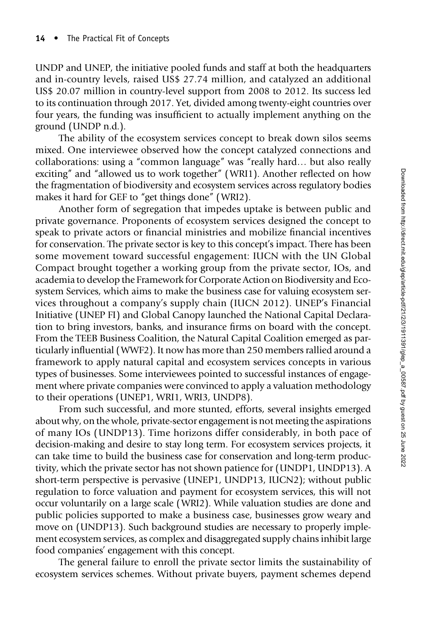UNDP and UNEP, the initiative pooled funds and staff at both the headquarters and in-country levels, raised US\$ 27.74 million, and catalyzed an additional US\$ 20.07 million in country-level support from 2008 to 2012. Its success led to its continuation through 2017. Yet, divided among twenty-eight countries over four years, the funding was insufficient to actually implement anything on the ground (UNDP n.d.).

The ability of the ecosystem services concept to break down silos seems mixed. One interviewee observed how the concept catalyzed connections and collaborations: using a "common language" was "really hard… but also really exciting" and "allowed us to work together" (WRI1). Another reflected on how the fragmentation of biodiversity and ecosystem services across regulatory bodies makes it hard for GEF to "get things done" (WRI2).

Another form of segregation that impedes uptake is between public and private governance. Proponents of ecosystem services designed the concept to speak to private actors or financial ministries and mobilize financial incentives for conservation. The private sector is key to this concept's impact. There has been some movement toward successful engagement: IUCN with the UN Global Compact brought together a working group from the private sector, IOs, and academia to develop the Framework for Corporate Action on Biodiversity and Ecosystem Services, which aims to make the business case for valuing ecosystem services throughout a company's supply chain (IUCN 2012). UNEP's Financial Initiative (UNEP FI) and Global Canopy launched the National Capital Declaration to bring investors, banks, and insurance firms on board with the concept. From the TEEB Business Coalition, the Natural Capital Coalition emerged as particularly influential (WWF2). It now has more than 250 members rallied around a framework to apply natural capital and ecosystem services concepts in various types of businesses. Some interviewees pointed to successful instances of engagement where private companies were convinced to apply a valuation methodology to their operations (UNEP1, WRI1, WRI3, UNDP8).

From such successful, and more stunted, efforts, several insights emerged about why, on the whole, private-sector engagement is not meeting the aspirations of many IOs (UNDP13). Time horizons differ considerably, in both pace of decision-making and desire to stay long term. For ecosystem services projects, it can take time to build the business case for conservation and long-term productivity, which the private sector has not shown patience for (UNDP1, UNDP13). A short-term perspective is pervasive (UNEP1, UNDP13, IUCN2); without public regulation to force valuation and payment for ecosystem services, this will not occur voluntarily on a large scale (WRI2). While valuation studies are done and public policies supported to make a business case, businesses grow weary and move on (UNDP13). Such background studies are necessary to properly implement ecosystem services, as complex and disaggregated supply chains inhibit large food companies' engagement with this concept.

The general failure to enroll the private sector limits the sustainability of ecosystem services schemes. Without private buyers, payment schemes depend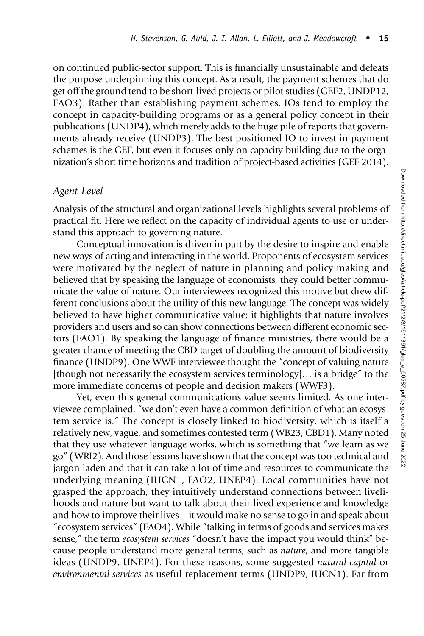on continued public-sector support. This is financially unsustainable and defeats the purpose underpinning this concept. As a result, the payment schemes that do get off the ground tend to be short-lived projects or pilot studies (GEF2, UNDP12, FAO3). Rather than establishing payment schemes, IOs tend to employ the concept in capacity-building programs or as a general policy concept in their publications (UNDP4), which merely adds to the huge pile of reports that governments already receive (UNDP3). The best positioned IO to invest in payment schemes is the GEF, but even it focuses only on capacity-building due to the organization's short time horizons and tradition of project-based activities (GEF 2014).

#### Agent Level

Analysis of the structural and organizational levels highlights several problems of practical fit. Here we reflect on the capacity of individual agents to use or understand this approach to governing nature.

Conceptual innovation is driven in part by the desire to inspire and enable new ways of acting and interacting in the world. Proponents of ecosystem services were motivated by the neglect of nature in planning and policy making and believed that by speaking the language of economists, they could better communicate the value of nature. Our interviewees recognized this motive but drew different conclusions about the utility of this new language. The concept was widely believed to have higher communicative value; it highlights that nature involves providers and users and so can show connections between different economic sectors (FAO1). By speaking the language of finance ministries, there would be a greater chance of meeting the CBD target of doubling the amount of biodiversity finance (UNDP9). One WWF interviewee thought the "concept of valuing nature [though not necessarily the ecosystem services terminology]… is a bridge" to the more immediate concerns of people and decision makers (WWF3).

Yet, even this general communications value seems limited. As one interviewee complained, "we don't even have a common definition of what an ecosystem service is." The concept is closely linked to biodiversity, which is itself a relatively new, vague, and sometimes contested term (WB23, CBD1). Many noted that they use whatever language works, which is something that "we learn as we go" (WRI2). And those lessons have shown that the concept was too technical and jargon-laden and that it can take a lot of time and resources to communicate the underlying meaning (IUCN1, FAO2, UNEP4). Local communities have not grasped the approach; they intuitively understand connections between livelihoods and nature but want to talk about their lived experience and knowledge and how to improve their lives—it would make no sense to go in and speak about "ecosystem services" (FAO4). While "talking in terms of goods and services makes sense," the term ecosystem services "doesn't have the impact you would think" because people understand more general terms, such as nature, and more tangible ideas (UNDP9, UNEP4). For these reasons, some suggested natural capital or environmental services as useful replacement terms (UNDP9, IUCN1). Far from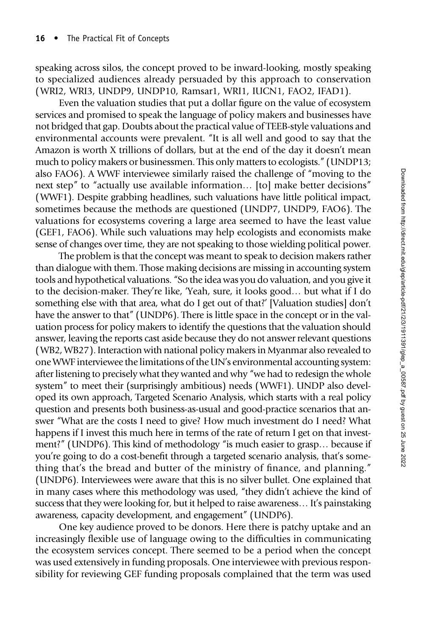speaking across silos, the concept proved to be inward-looking, mostly speaking to specialized audiences already persuaded by this approach to conservation (WRI2, WRI3, UNDP9, UNDP10, Ramsar1, WRI1, IUCN1, FAO2, IFAD1).

Even the valuation studies that put a dollar figure on the value of ecosystem services and promised to speak the language of policy makers and businesses have not bridged that gap. Doubts about the practical value of TEEB-style valuations and environmental accounts were prevalent. "It is all well and good to say that the Amazon is worth X trillions of dollars, but at the end of the day it doesn't mean much to policy makers or businessmen. This only matters to ecologists." (UNDP13; also FAO6). A WWF interviewee similarly raised the challenge of "moving to the next step" to "actually use available information… [to] make better decisions" (WWF1). Despite grabbing headlines, such valuations have little political impact, sometimes because the methods are questioned (UNDP7, UNDP9, FAO6). The valuations for ecosystems covering a large area seemed to have the least value (GEF1, FAO6). While such valuations may help ecologists and economists make sense of changes over time, they are not speaking to those wielding political power.

The problem is that the concept was meant to speak to decision makers rather than dialogue with them. Those making decisions are missing in accounting system tools and hypothetical valuations. "So the idea was you do valuation, and you give it to the decision-maker. They're like, 'Yeah, sure, it looks good… but what if I do something else with that area, what do I get out of that?' [Valuation studies] don't have the answer to that" (UNDP6). There is little space in the concept or in the valuation process for policy makers to identify the questions that the valuation should answer, leaving the reports cast aside because they do not answer relevant questions (WB2, WB27). Interaction with national policy makers in Myanmar also revealed to one WWF interviewee the limitations of the UN's environmental accounting system: after listening to precisely what they wanted and why "we had to redesign the whole system" to meet their (surprisingly ambitious) needs (WWF1). UNDP also developed its own approach, Targeted Scenario Analysis, which starts with a real policy question and presents both business-as-usual and good-practice scenarios that answer "What are the costs I need to give? How much investment do I need? What happens if I invest this much here in terms of the rate of return I get on that investment?" (UNDP6). This kind of methodology "is much easier to grasp... because if you're going to do a cost-benefit through a targeted scenario analysis, that's something that's the bread and butter of the ministry of finance, and planning." (UNDP6). Interviewees were aware that this is no silver bullet. One explained that in many cases where this methodology was used, "they didn't achieve the kind of success that they were looking for, but it helped to raise awareness… It's painstaking awareness, capacity development, and engagement" (UNDP6).

One key audience proved to be donors. Here there is patchy uptake and an increasingly flexible use of language owing to the difficulties in communicating the ecosystem services concept. There seemed to be a period when the concept was used extensively in funding proposals. One interviewee with previous responsibility for reviewing GEF funding proposals complained that the term was used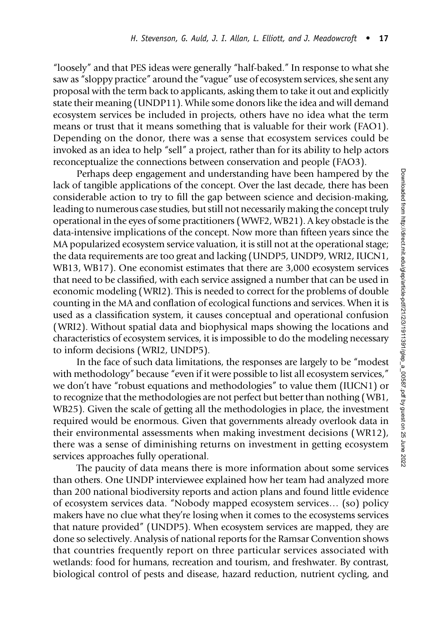"loosely" and that PES ideas were generally "half-baked." In response to what she saw as "sloppy practice" around the "vague" use of ecosystem services, she sent any proposal with the term back to applicants, asking them to take it out and explicitly state their meaning (UNDP11). While some donors like the idea and will demand ecosystem services be included in projects, others have no idea what the term means or trust that it means something that is valuable for their work (FAO1). Depending on the donor, there was a sense that ecosystem services could be invoked as an idea to help "sell" a project, rather than for its ability to help actors reconceptualize the connections between conservation and people (FAO3).

Perhaps deep engagement and understanding have been hampered by the lack of tangible applications of the concept. Over the last decade, there has been considerable action to try to fill the gap between science and decision-making, leading to numerous case studies, but still not necessarily making the concept truly operational in the eyes of some practitioners (WWF2, WB21). A key obstacle is the data-intensive implications of the concept. Now more than fifteen years since the MA popularized ecosystem service valuation, it is still not at the operational stage; the data requirements are too great and lacking (UNDP5, UNDP9, WRI2, IUCN1, WB13, WB17). One economist estimates that there are 3,000 ecosystem services that need to be classified, with each service assigned a number that can be used in economic modeling (WRI2). This is needed to correct for the problems of double counting in the MA and conflation of ecological functions and services. When it is used as a classification system, it causes conceptual and operational confusion (WRI2). Without spatial data and biophysical maps showing the locations and characteristics of ecosystem services, it is impossible to do the modeling necessary to inform decisions (WRI2, UNDP5).

In the face of such data limitations, the responses are largely to be "modest with methodology" because "even if it were possible to list all ecosystem services," we don't have "robust equations and methodologies" to value them (IUCN1) or to recognize that the methodologies are not perfect but better than nothing (WB1, WB25). Given the scale of getting all the methodologies in place, the investment required would be enormous. Given that governments already overlook data in their environmental assessments when making investment decisions (WR12), there was a sense of diminishing returns on investment in getting ecosystem services approaches fully operational.

The paucity of data means there is more information about some services than others. One UNDP interviewee explained how her team had analyzed more than 200 national biodiversity reports and action plans and found little evidence of ecosystem services data. "Nobody mapped ecosystem services… (so) policy makers have no clue what they're losing when it comes to the ecosystems services that nature provided" (UNDP5). When ecosystem services are mapped, they are done so selectively. Analysis of national reports for the Ramsar Convention shows that countries frequently report on three particular services associated with wetlands: food for humans, recreation and tourism, and freshwater. By contrast, biological control of pests and disease, hazard reduction, nutrient cycling, and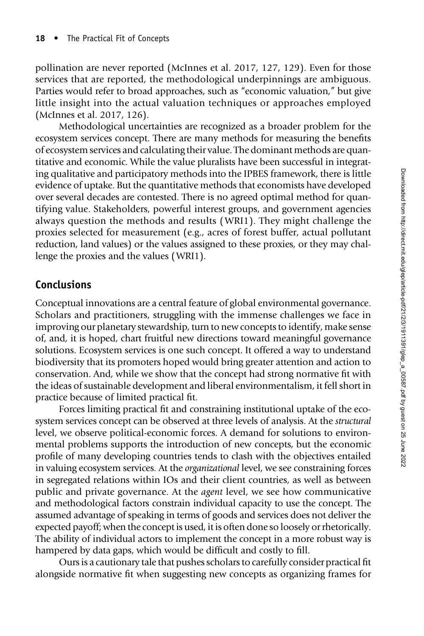pollination are never reported (McInnes et al. 2017, 127, 129). Even for those services that are reported, the methodological underpinnings are ambiguous. Parties would refer to broad approaches, such as "economic valuation," but give little insight into the actual valuation techniques or approaches employed (McInnes et al. 2017, 126).

Methodological uncertainties are recognized as a broader problem for the ecosystem services concept. There are many methods for measuring the benefits of ecosystem services and calculating their value. The dominant methods are quantitative and economic. While the value pluralists have been successful in integrating qualitative and participatory methods into the IPBES framework, there is little evidence of uptake. But the quantitative methods that economists have developed over several decades are contested. There is no agreed optimal method for quantifying value. Stakeholders, powerful interest groups, and government agencies always question the methods and results (WRI1). They might challenge the proxies selected for measurement (e.g., acres of forest buffer, actual pollutant reduction, land values) or the values assigned to these proxies, or they may challenge the proxies and the values (WRI1).

### Conclusions

Conceptual innovations are a central feature of global environmental governance. Scholars and practitioners, struggling with the immense challenges we face in improving our planetary stewardship, turn to new concepts to identify, make sense of, and, it is hoped, chart fruitful new directions toward meaningful governance solutions. Ecosystem services is one such concept. It offered a way to understand biodiversity that its promoters hoped would bring greater attention and action to conservation. And, while we show that the concept had strong normative fit with the ideas of sustainable development and liberal environmentalism, it fell short in practice because of limited practical fit.

Forces limiting practical fit and constraining institutional uptake of the ecosystem services concept can be observed at three levels of analysis. At the structural level, we observe political-economic forces. A demand for solutions to environmental problems supports the introduction of new concepts, but the economic profile of many developing countries tends to clash with the objectives entailed in valuing ecosystem services. At the organizational level, we see constraining forces in segregated relations within IOs and their client countries, as well as between public and private governance. At the agent level, we see how communicative and methodological factors constrain individual capacity to use the concept. The assumed advantage of speaking in terms of goods and services does not deliver the expected payoff; when the concept is used, it is often done so loosely or rhetorically. The ability of individual actors to implement the concept in a more robust way is hampered by data gaps, which would be difficult and costly to fill.

Ours is a cautionary tale that pushes scholars to carefully consider practical fit alongside normative fit when suggesting new concepts as organizing frames for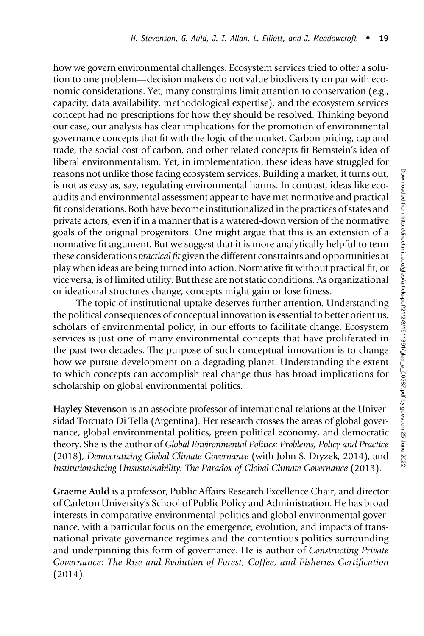how we govern environmental challenges. Ecosystem services tried to offer a solution to one problem—decision makers do not value biodiversity on par with economic considerations. Yet, many constraints limit attention to conservation (e.g., capacity, data availability, methodological expertise), and the ecosystem services concept had no prescriptions for how they should be resolved. Thinking beyond our case, our analysis has clear implications for the promotion of environmental governance concepts that fit with the logic of the market. Carbon pricing, cap and trade, the social cost of carbon, and other related concepts fit Bernstein's idea of liberal environmentalism. Yet, in implementation, these ideas have struggled for reasons not unlike those facing ecosystem services. Building a market, it turns out, is not as easy as, say, regulating environmental harms. In contrast, ideas like ecoaudits and environmental assessment appear to have met normative and practical fit considerations. Both have become institutionalized in the practices of states and private actors, even if in a manner that is a watered-down version of the normative goals of the original progenitors. One might argue that this is an extension of a normative fit argument. But we suggest that it is more analytically helpful to term these considerations *practical* fit given the different constraints and opportunities at play when ideas are being turned into action. Normative fit without practical fit, or vice versa, is of limited utility. But these are not static conditions. As organizational or ideational structures change, concepts might gain or lose fitness.

The topic of institutional uptake deserves further attention. Understanding the political consequences of conceptual innovation is essential to better orient us, scholars of environmental policy, in our efforts to facilitate change. Ecosystem services is just one of many environmental concepts that have proliferated in the past two decades. The purpose of such conceptual innovation is to change how we pursue development on a degrading planet. Understanding the extent to which concepts can accomplish real change thus has broad implications for scholarship on global environmental politics.

Hayley Stevenson is an associate professor of international relations at the Universidad Torcuato Di Tella (Argentina). Her research crosses the areas of global governance, global environmental politics, green political economy, and democratic theory. She is the author of Global Environmental Politics: Problems, Policy and Practice (2018), Democratizing Global Climate Governance (with John S. Dryzek, 2014), and Institutionalizing Unsustainability: The Paradox of Global Climate Governance (2013).

Graeme Auld is a professor, Public Affairs Research Excellence Chair, and director of Carleton University's School of Public Policy and Administration. He has broad interests in comparative environmental politics and global environmental governance, with a particular focus on the emergence, evolution, and impacts of transnational private governance regimes and the contentious politics surrounding and underpinning this form of governance. He is author of Constructing Private Governance: The Rise and Evolution of Forest, Coffee, and Fisheries Certification (2014).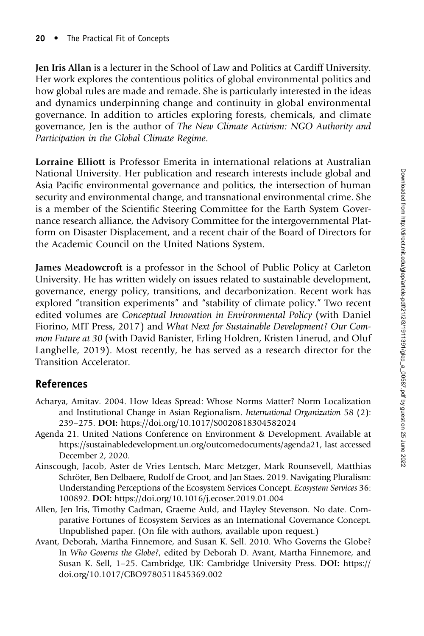Jen Iris Allan is a lecturer in the School of Law and Politics at Cardiff University. Her work explores the contentious politics of global environmental politics and how global rules are made and remade. She is particularly interested in the ideas and dynamics underpinning change and continuity in global environmental governance. In addition to articles exploring forests, chemicals, and climate governance, Jen is the author of The New Climate Activism: NGO Authority and Participation in the Global Climate Regime.

Lorraine Elliott is Professor Emerita in international relations at Australian National University. Her publication and research interests include global and Asia Pacific environmental governance and politics, the intersection of human security and environmental change, and transnational environmental crime. She is a member of the Scientific Steering Committee for the Earth System Governance research alliance, the Advisory Committee for the intergovernmental Platform on Disaster Displacement, and a recent chair of the Board of Directors for the Academic Council on the United Nations System.

James Meadowcroft is a professor in the School of Public Policy at Carleton University. He has written widely on issues related to sustainable development, governance, energy policy, transitions, and decarbonization. Recent work has explored "transition experiments" and "stability of climate policy." Two recent edited volumes are Conceptual Innovation in Environmental Policy (with Daniel Fiorino, MIT Press, 2017) and What Next for Sustainable Development? Our Common Future at 30 (with David Banister, Erling Holdren, Kristen Linerud, and Oluf Langhelle, 2019). Most recently, he has served as a research director for the Transition Accelerator.

## References

- Acharya, Amitav. 2004. How Ideas Spread: Whose Norms Matter? Norm Localization and Institutional Change in Asian Regionalism. International Organization 58 (2): 239–275. DOI: <https://doi.org/10.1017/S0020818304582024>
- Agenda 21. United Nations Conference on Environment & Development. Available at [https://sustainabledevelopment.un.org/outcomedocuments/agenda21,](https://sustainabledevelopment.un.org/outcomedocuments/agenda21) last accessed December 2, 2020.
- Ainscough, Jacob, Aster de Vries Lentsch, Marc Metzger, Mark Rounsevell, Matthias Schröter, Ben Delbaere, Rudolf de Groot, and Jan Staes. 2019. Navigating Pluralism: Understanding Perceptions of the Ecosystem Services Concept. Ecosystem Services 36: 100892. DOI: <https://doi.org/10.1016/j.ecoser.2019.01.004>
- Allen, Jen Iris, Timothy Cadman, Graeme Auld, and Hayley Stevenson. No date. Comparative Fortunes of Ecosystem Services as an International Governance Concept. Unpublished paper. (On file with authors, available upon request.)
- Avant, Deborah, Martha Finnemore, and Susan K. Sell. 2010. Who Governs the Globe? In Who Governs the Globe?, edited by Deborah D. Avant, Martha Finnemore, and Susan K. Sell, 1–25. Cambridge, UK: Cambridge University Press. DOI: [https://](https://doi.org/10.1017/CBO9780511845369.002) [doi.org/10.1017/CBO9780511845369.002](https://doi.org/10.1017/CBO9780511845369.002)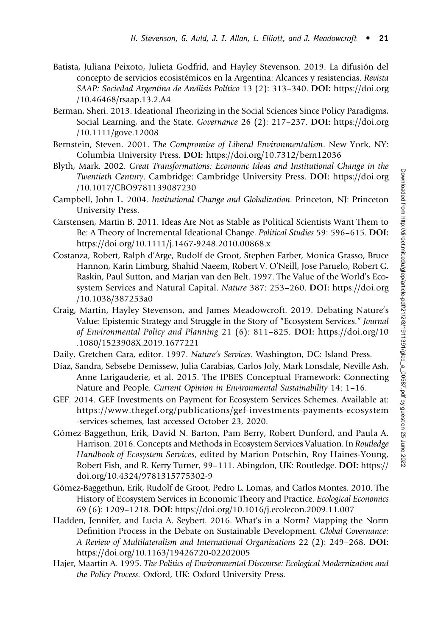- Batista, Juliana Peixoto, Julieta Godfrid, and Hayley Stevenson. 2019. La difusión del concepto de servicios ecosistémicos en la Argentina: Alcances y resistencias. Revista SAAP: Sociedad Argentina de Análisis Político 13 (2): 313–340. DOI: [https://doi.org](https://doi.org/10.46468/rsaap.13.2.A4) [/10.46468/rsaap.13.2.A4](https://doi.org/10.46468/rsaap.13.2.A4)
- Berman, Sheri. 2013. Ideational Theorizing in the Social Sciences Since Policy Paradigms, Social Learning, and the State. Governance 26 (2): 217–237. DOI: [https://doi.org](https://doi.org/10.1111/gove.12008) [/10.1111/gove.12008](https://doi.org/10.1111/gove.12008)
- Bernstein, Steven. 2001. The Compromise of Liberal Environmentalism. New York, NY: Columbia University Press. DOI: <https://doi.org/10.7312/bern12036>
- Blyth, Mark. 2002. Great Transformations: Economic Ideas and Institutional Change in the Twentieth Century. Cambridge: Cambridge University Press. DOI: [https://doi.org](https://doi.org/10.1017/CBO9781139087230) [/10.1017/CBO9781139087230](https://doi.org/10.1017/CBO9781139087230)
- Campbell, John L. 2004. Institutional Change and Globalization. Princeton, NJ: Princeton University Press.
- Carstensen, Martin B. 2011. Ideas Are Not as Stable as Political Scientists Want Them to Be: A Theory of Incremental Ideational Change. Political Studies 59: 596–615. DOI: <https://doi.org/10.1111/j.1467-9248.2010.00868.x>
- Costanza, Robert, Ralph d'Arge, Rudolf de Groot, Stephen Farber, Monica Grasso, Bruce Hannon, Karin Limburg, Shahid Naeem, Robert V. O'Neill, Jose Paruelo, Robert G. Raskin, Paul Sutton, and Marjan van den Belt. 1997. The Value of the World's Ecosystem Services and Natural Capital. Nature 387: 253–260. DOI: [https://doi.org](https://doi.org/10.1038/387253a0) [/10.1038/387253a0](https://doi.org/10.1038/387253a0)
- Craig, Martin, Hayley Stevenson, and James Meadowcroft. 2019. Debating Nature's Value: Epistemic Strategy and Struggle in the Story of "Ecosystem Services." Journal of Environmental Policy and Planning 21 (6): 811–825. DOI: [https://doi.org/10](https://doi.org/10.1080/1523908X.2019.1677221) [.1080/1523908X.2019.1677221](https://doi.org/10.1080/1523908X.2019.1677221)
- Daily, Gretchen Cara, editor. 1997. Nature's Services. Washington, DC: Island Press.
- Díaz, Sandra, Sebsebe Demissew, Julia Carabias, Carlos Joly, Mark Lonsdale, Neville Ash, Anne Larigauderie, et al. 2015. The IPBES Conceptual Framework: Connecting Nature and People. Current Opinion in Environmental Sustainability 14: 1–16.
- GEF. 2014. GEF Investments on Payment for Ecosystem Services Schemes. Available at: [https://www.thegef.org/publications/gef-investments-payments-ecosystem](https://www.thegef.org/publications/gef-investments-payments-ecosystem-services-schemes) [-services-schemes,](https://www.thegef.org/publications/gef-investments-payments-ecosystem-services-schemes) last accessed October 23, 2020.
- Gómez-Baggethun, Erik, David N. Barton, Pam Berry, Robert Dunford, and Paula A. Harrison. 2016. Concepts and Methods in Ecosystem Services Valuation. In Routledge Handbook of Ecosystem Services, edited by Marion Potschin, Roy Haines-Young, Robert Fish, and R. Kerry Turner, 99–111. Abingdon, UK: Routledge. DOI: [https://](https://doi.org/10.4324/9781315775302-9) [doi.org/10.4324/9781315775302-9](https://doi.org/10.4324/9781315775302-9)
- Gómez-Baggethun, Erik, Rudolf de Groot, Pedro L. Lomas, and Carlos Montes. 2010. The History of Ecosystem Services in Economic Theory and Practice. Ecological Economics 69 (6): 1209–1218. DOI: <https://doi.org/10.1016/j.ecolecon.2009.11.007>
- Hadden, Jennifer, and Lucia A. Seybert. 2016. What's in a Norm? Mapping the Norm Definition Process in the Debate on Sustainable Development. Global Governance: A Review of Multilateralism and International Organizations 22 (2): 249–268. DOI: <https://doi.org/10.1163/19426720-02202005>
- Hajer, Maartin A. 1995. The Politics of Environmental Discourse: Ecological Modernization and the Policy Process. Oxford, UK: Oxford University Press.